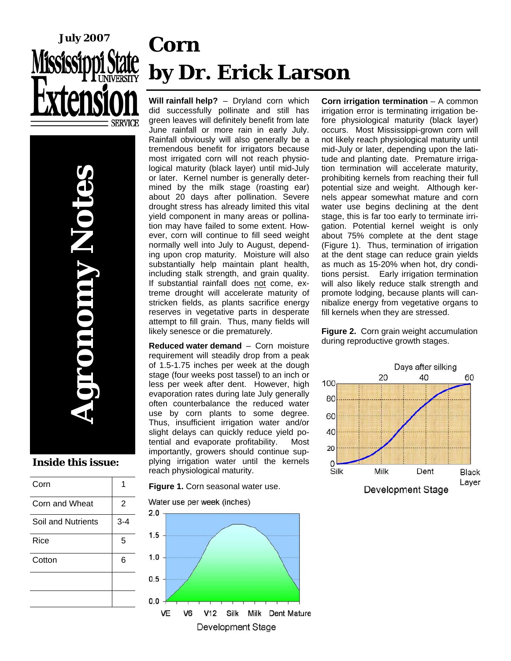# **July 2007**  SERVICE

**Agronomy Notes Nutional** 

#### **Inside this issue:**

| Corn               |     |
|--------------------|-----|
| Corn and Wheat     | 2   |
| Soil and Nutrients | 3-4 |
| Rice               | 5   |
| Cotton             | 6   |
|                    |     |
|                    |     |

## **Corn by Dr. Erick Larson**

**Will rainfall help?** – Dryland corn which did successfully pollinate and still has green leaves will definitely benefit from late June rainfall or more rain in early July. Rainfall obviously will also generally be a tremendous benefit for irrigators because most irrigated corn will not reach physiological maturity (black layer) until mid-July or later. Kernel number is generally determined by the milk stage (roasting ear) about 20 days after pollination. Severe drought stress has already limited this vital yield component in many areas or pollination may have failed to some extent. However, corn will continue to fill seed weight normally well into July to August, depending upon crop maturity. Moisture will also substantially help maintain plant health, including stalk strength, and grain quality. If substantial rainfall does not come, extreme drought will accelerate maturity of stricken fields, as plants sacrifice energy reserves in vegetative parts in desperate attempt to fill grain. Thus, many fields will likely senesce or die prematurely.

**Reduced water demand** – Corn moisture requirement will steadily drop from a peak of 1.5-1.75 inches per week at the dough stage (four weeks post tassel) to an inch or less per week after dent. However, high evaporation rates during late July generally often counterbalance the reduced water use by corn plants to some degree. Thus, insufficient irrigation water and/or slight delays can quickly reduce yield potential and evaporate profitability. Most importantly, growers should continue supplying irrigation water until the kernels reach physiological maturity.

**Figure 1.** Corn seasonal water use.



**Corn irrigation termination** – A common irrigation error is terminating irrigation before physiological maturity (black layer) occurs. Most Mississippi-grown corn will not likely reach physiological maturity until mid-July or later, depending upon the latitude and planting date. Premature irrigation termination will accelerate maturity, prohibiting kernels from reaching their full potential size and weight. Although kernels appear somewhat mature and corn water use begins declining at the dent stage, this is far too early to terminate irrigation. Potential kernel weight is only about 75% complete at the dent stage (Figure 1). Thus, termination of irrigation at the dent stage can reduce grain yields as much as 15-20% when hot, dry conditions persist. Early irrigation termination will also likely reduce stalk strength and promote lodging, because plants will cannibalize energy from vegetative organs to fill kernels when they are stressed.

**Figure 2.** Corn grain weight accumulation during reproductive growth stages.

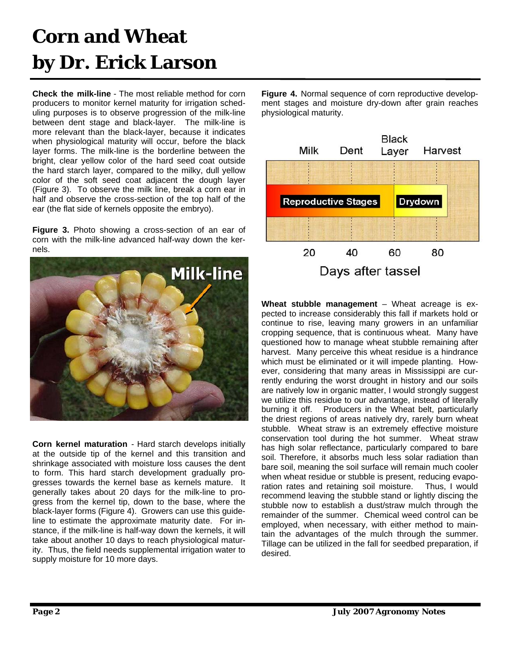#### **Corn and Wheat by Dr. Erick Larson**

**Check the milk-line** - The most reliable method for corn producers to monitor kernel maturity for irrigation scheduling purposes is to observe progression of the milk-line between dent stage and black-layer. The milk-line is more relevant than the black-layer, because it indicates when physiological maturity will occur, before the black layer forms. The milk-line is the borderline between the bright, clear yellow color of the hard seed coat outside the hard starch layer, compared to the milky, dull yellow color of the soft seed coat adjacent the dough layer (Figure 3). To observe the milk line, break a corn ear in half and observe the cross-section of the top half of the ear (the flat side of kernels opposite the embryo).

**Figure 3.** Photo showing a cross-section of an ear of corn with the milk-line advanced half-way down the kernels.



**Corn kernel maturation** - Hard starch develops initially at the outside tip of the kernel and this transition and shrinkage associated with moisture loss causes the dent to form. This hard starch development gradually progresses towards the kernel base as kernels mature. It generally takes about 20 days for the milk-line to progress from the kernel tip, down to the base, where the black-layer forms (Figure 4). Growers can use this guideline to estimate the approximate maturity date. For instance, if the milk-line is half-way down the kernels, it will take about another 10 days to reach physiological maturity. Thus, the field needs supplemental irrigation water to supply moisture for 10 more days.

**Figure 4.** Normal sequence of corn reproductive development stages and moisture dry-down after grain reaches physiological maturity.



**Wheat stubble management** – Wheat acreage is expected to increase considerably this fall if markets hold or continue to rise, leaving many growers in an unfamiliar cropping sequence, that is continuous wheat. Many have questioned how to manage wheat stubble remaining after harvest. Many perceive this wheat residue is a hindrance which must be eliminated or it will impede planting. However, considering that many areas in Mississippi are currently enduring the worst drought in history and our soils are natively low in organic matter, I would strongly suggest we utilize this residue to our advantage, instead of literally burning it off. Producers in the Wheat belt, particularly the driest regions of areas natively dry, rarely burn wheat stubble. Wheat straw is an extremely effective moisture conservation tool during the hot summer. Wheat straw has high solar reflectance, particularly compared to bare soil. Therefore, it absorbs much less solar radiation than bare soil, meaning the soil surface will remain much cooler when wheat residue or stubble is present, reducing evaporation rates and retaining soil moisture. Thus, I would recommend leaving the stubble stand or lightly discing the stubble now to establish a dust/straw mulch through the remainder of the summer. Chemical weed control can be employed, when necessary, with either method to maintain the advantages of the mulch through the summer. Tillage can be utilized in the fall for seedbed preparation, if desired.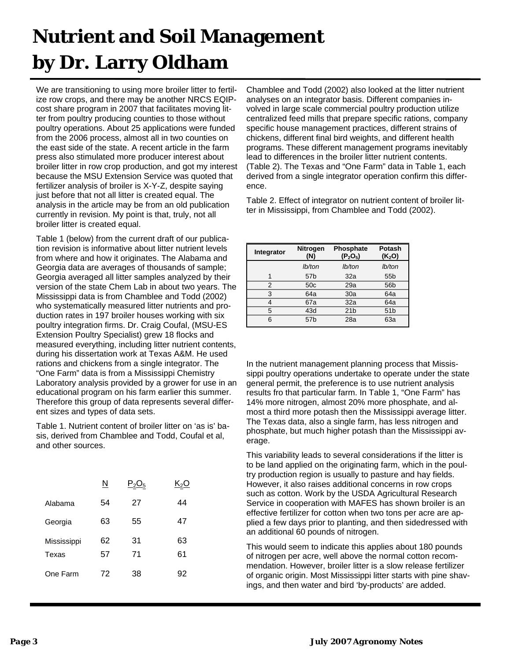#### **Nutrient and Soil Management by Dr. Larry Oldham**

We are transitioning to using more broiler litter to fertilize row crops, and there may be another NRCS EQIPcost share program in 2007 that facilitates moving litter from poultry producing counties to those without poultry operations. About 25 applications were funded from the 2006 process, almost all in two counties on the east side of the state. A recent article in the farm press also stimulated more producer interest about broiler litter in row crop production, and got my interest because the MSU Extension Service was quoted that fertilizer analysis of broiler is X-Y-Z, despite saying just before that not all litter is created equal. The analysis in the article may be from an old publication currently in revision. My point is that, truly, not all broiler litter is created equal.

Table 1 (below) from the current draft of our publication revision is informative about litter nutrient levels from where and how it originates. The Alabama and Georgia data are averages of thousands of sample; Georgia averaged all litter samples analyzed by their version of the state Chem Lab in about two years. The Mississippi data is from Chamblee and Todd (2002) who systematically measured litter nutrients and production rates in 197 broiler houses working with six poultry integration firms. Dr. Craig Coufal, (MSU-ES Extension Poultry Specialist) grew 18 flocks and measured everything, including litter nutrient contents, during his dissertation work at Texas A&M. He used rations and chickens from a single integrator. The "One Farm" data is from a Mississippi Chemistry Laboratory analysis provided by a grower for use in an educational program on his farm earlier this summer. Therefore this group of data represents several different sizes and types of data sets.

Table 1. Nutrient content of broiler litter on 'as is' basis, derived from Chamblee and Todd, Coufal et al, and other sources.

|                      | <u>N</u> | λ5       |          |
|----------------------|----------|----------|----------|
| Alabama              | 54       | 27       | 44       |
| Georgia              | 63       | 55       | 47       |
| Mississippi<br>Texas | 62<br>57 | 31<br>71 | 63<br>61 |
| One Farm             | 72       | 38       | 92       |

Chamblee and Todd (2002) also looked at the litter nutrient analyses on an integrator basis. Different companies involved in large scale commercial poultry production utilize centralized feed mills that prepare specific rations, company specific house management practices, different strains of chickens, different final bird weights, and different health programs. These different management programs inevitably lead to differences in the broiler litter nutrient contents. (Table 2). The Texas and "One Farm" data in Table 1, each derived from a single integrator operation confirm this difference.

Table 2. Effect of integrator on nutrient content of broiler litter in Mississippi, from Chamblee and Todd (2002).

| Integrator | <b>Nitrogen</b><br>(N) | Phosphate<br>$(P_2O_5)$ | Potash<br>(K <sub>2</sub> O) |
|------------|------------------------|-------------------------|------------------------------|
|            | lb/ton                 | lb/ton                  | lb/ton                       |
|            | 57 <sub>b</sub>        | 32a                     | 55 <sub>b</sub>              |
| 2          | 50c                    | 29a                     | 56 <sub>b</sub>              |
| 3          | 64a                    | 30a                     | 64a                          |
|            | 67a                    | 32a                     | 64a                          |
| 5          | 43d                    | 21 <sub>b</sub>         | 51 <sub>b</sub>              |
| ี          | 57b                    | 28a                     | 63а                          |

In the nutrient management planning process that Mississippi poultry operations undertake to operate under the state general permit, the preference is to use nutrient analysis results fro that particular farm. In Table 1, "One Farm" has 14% more nitrogen, almost 20% more phosphate, and almost a third more potash then the Mississippi average litter. The Texas data, also a single farm, has less nitrogen and phosphate, but much higher potash than the Mississippi average.

This variability leads to several considerations if the litter is to be land applied on the originating farm, which in the poultry production region is usually to pasture and hay fields. However, it also raises additional concerns in row crops such as cotton. Work by the USDA Agricultural Research Service in cooperation with MAFES has shown broiler is an effective fertilizer for cotton when two tons per acre are applied a few days prior to planting, and then sidedressed with an additional 60 pounds of nitrogen.

This would seem to indicate this applies about 180 pounds of nitrogen per acre, well above the normal cotton recommendation. However, broiler litter is a slow release fertilizer of organic origin. Most Mississippi litter starts with pine shavings, and then water and bird 'by-products' are added.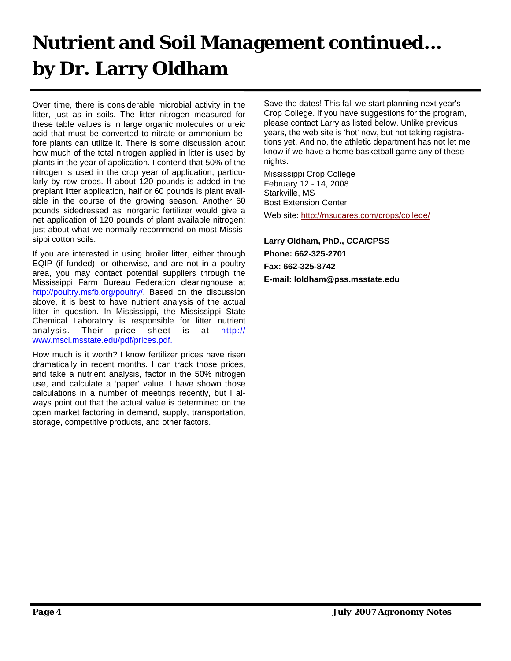#### **Nutrient and Soil Management continued... by Dr. Larry Oldham**

Over time, there is considerable microbial activity in the litter, just as in soils. The litter nitrogen measured for these table values is in large organic molecules or ureic acid that must be converted to nitrate or ammonium before plants can utilize it. There is some discussion about how much of the total nitrogen applied in litter is used by plants in the year of application. I contend that 50% of the nitrogen is used in the crop year of application, particularly by row crops. If about 120 pounds is added in the preplant litter application, half or 60 pounds is plant available in the course of the growing season. Another 60 pounds sidedressed as inorganic fertilizer would give a net application of 120 pounds of plant available nitrogen: just about what we normally recommend on most Mississippi cotton soils.

If you are interested in using broiler litter, either through EQIP (if funded), or otherwise, and are not in a poultry area, you may contact potential suppliers through the Mississippi Farm Bureau Federation clearinghouse at http://poultry.msfb.org/poultry/. Based on the discussion above, it is best to have nutrient analysis of the actual litter in question. In Mississippi, the Mississippi State Chemical Laboratory is responsible for litter nutrient analysis. Their price sheet is at http:// www.mscl.msstate.edu/pdf/prices.pdf.

How much is it worth? I know fertilizer prices have risen dramatically in recent months. I can track those prices, and take a nutrient analysis, factor in the 50% nitrogen use, and calculate a 'paper' value. I have shown those calculations in a number of meetings recently, but I always point out that the actual value is determined on the open market factoring in demand, supply, transportation, storage, competitive products, and other factors.

Save the dates! This fall we start planning next year's Crop College. If you have suggestions for the program, please contact Larry as listed below. Unlike previous years, the web site is 'hot' now, but not taking registrations yet. And no, the athletic department has not let me know if we have a home basketball game any of these nights.

Mississippi Crop College February 12 - 14, 2008 Starkville, MS Bost Extension Center

Web site: http://msucares.com/crops/college/

**Larry Oldham, PhD., CCA/CPSS Phone: 662-325-2701 Fax: 662-325-8742 E-mail: loldham@pss.msstate.edu**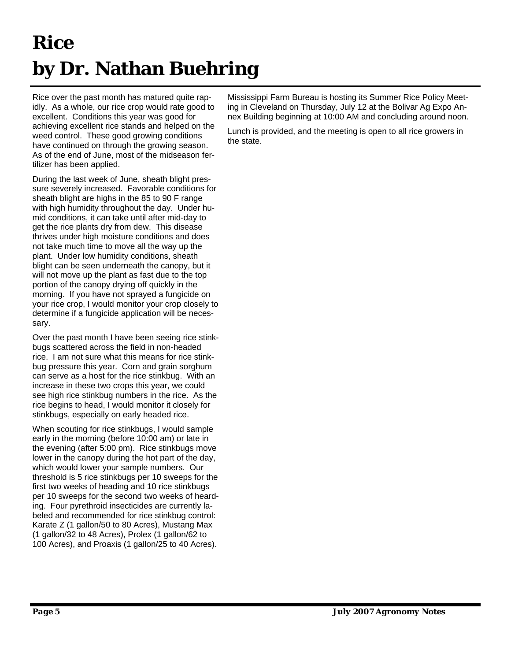### **Rice by Dr. Nathan Buehring**

Rice over the past month has matured quite rapidly. As a whole, our rice crop would rate good to excellent. Conditions this year was good for achieving excellent rice stands and helped on the weed control. These good growing conditions have continued on through the growing season. As of the end of June, most of the midseason fertilizer has been applied.

During the last week of June, sheath blight pressure severely increased. Favorable conditions for sheath blight are highs in the 85 to 90 F range with high humidity throughout the day. Under humid conditions, it can take until after mid-day to get the rice plants dry from dew. This disease thrives under high moisture conditions and does not take much time to move all the way up the plant. Under low humidity conditions, sheath blight can be seen underneath the canopy, but it will not move up the plant as fast due to the top portion of the canopy drying off quickly in the morning. If you have not sprayed a fungicide on your rice crop, I would monitor your crop closely to determine if a fungicide application will be necessary.

Over the past month I have been seeing rice stinkbugs scattered across the field in non-headed rice. I am not sure what this means for rice stinkbug pressure this year. Corn and grain sorghum can serve as a host for the rice stinkbug. With an increase in these two crops this year, we could see high rice stinkbug numbers in the rice. As the rice begins to head, I would monitor it closely for stinkbugs, especially on early headed rice.

When scouting for rice stinkbugs, I would sample early in the morning (before 10:00 am) or late in the evening (after 5:00 pm). Rice stinkbugs move lower in the canopy during the hot part of the day, which would lower your sample numbers. Our threshold is 5 rice stinkbugs per 10 sweeps for the first two weeks of heading and 10 rice stinkbugs per 10 sweeps for the second two weeks of hearding. Four pyrethroid insecticides are currently labeled and recommended for rice stinkbug control: Karate Z (1 gallon/50 to 80 Acres), Mustang Max (1 gallon/32 to 48 Acres), Prolex (1 gallon/62 to 100 Acres), and Proaxis (1 gallon/25 to 40 Acres).

Mississippi Farm Bureau is hosting its Summer Rice Policy Meeting in Cleveland on Thursday, July 12 at the Bolivar Ag Expo Annex Building beginning at 10:00 AM and concluding around noon.

Lunch is provided, and the meeting is open to all rice growers in the state.